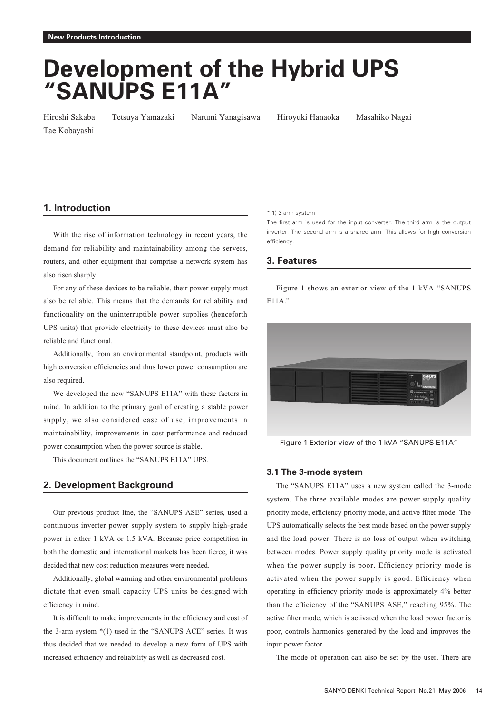# **Development of the Hybrid UPS "SANUPS E11A"**

Tae Kobayashi

Hiroshi Sakaba Tetsuya Yamazaki Narumi Yanagisawa Hiroyuki Hanaoka Masahiko Nagai

# **1. Introduction**

With the rise of information technology in recent years, the demand for reliability and maintainability among the servers, routers, and other equipment that comprise a network system has also risen sharply.

For any of these devices to be reliable, their power supply must also be reliable. This means that the demands for reliability and functionality on the uninterruptible power supplies (henceforth UPS units) that provide electricity to these devices must also be reliable and functional.

Additionally, from an environmental standpoint, products with high conversion efficiencies and thus lower power consumption are also required.

We developed the new "SANUPS E11A" with these factors in mind. In addition to the primary goal of creating a stable power supply, we also considered ease of use, improvements in maintainability, improvements in cost performance and reduced power consumption when the power source is stable.

This document outlines the "SANUPS E11A" UPS.

## **2. Development Background**

Our previous product line, the "SANUPS ASE" series, used a continuous inverter power supply system to supply high-grade power in either 1 kVA or 1.5 kVA. Because price competition in both the domestic and international markets has been fierce, it was decided that new cost reduction measures were needed.

Additionally, global warming and other environmental problems dictate that even small capacity UPS units be designed with efficiency in mind.

It is difficult to make improvements in the efficiency and cost of the 3-arm system \*(1) used in the "SANUPS ACE" series. It was thus decided that we needed to develop a new form of UPS with increased efficiency and reliability as well as decreased cost.

#### \*(1) 3-arm system

The first arm is used for the input converter. The third arm is the output inverter. The second arm is a shared arm. This allows for high conversion efficiency.

## **3. Features**

Figure 1 shows an exterior view of the 1 kVA "SANUPS E11A."



Figure 1 Exterior view of the 1 kVA "SANUPS E11A"

#### **3.1 The 3-mode system**

The "SANUPS E11A" uses a new system called the 3-mode system. The three available modes are power supply quality priority mode, efficiency priority mode, and active filter mode. The UPS automatically selects the best mode based on the power supply and the load power. There is no loss of output when switching between modes. Power supply quality priority mode is activated when the power supply is poor. Efficiency priority mode is activated when the power supply is good. Efficiency when operating in efficiency priority mode is approximately 4% better than the efficiency of the "SANUPS ASE," reaching 95%. The active filter mode, which is activated when the load power factor is poor, controls harmonics generated by the load and improves the input power factor.

The mode of operation can also be set by the user. There are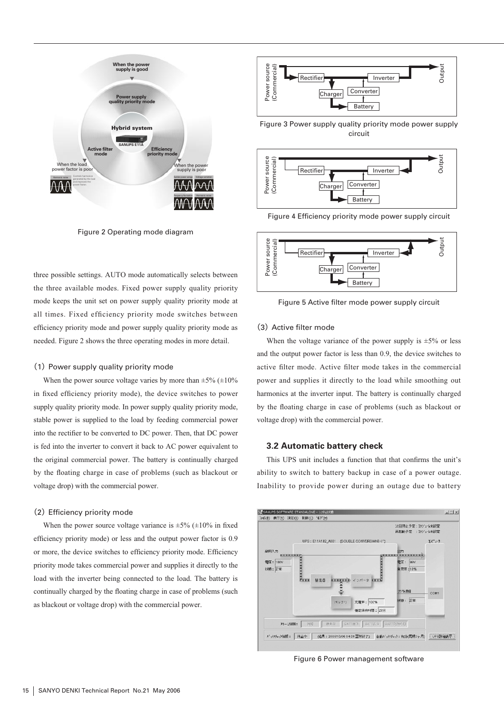

Figure 2 Operating mode diagram

three possible settings. AUTO mode automatically selects between the three available modes. Fixed power supply quality priority mode keeps the unit set on power supply quality priority mode at all times. Fixed efficiency priority mode switches between efficiency priority mode and power supply quality priority mode as needed. Figure 2 shows the three operating modes in more detail.

#### (1) Power supply quality priority mode

When the power source voltage varies by more than  $\pm 5\%$  ( $\pm 10\%$ ) in fixed efficiency priority mode), the device switches to power supply quality priority mode. In power supply quality priority mode, stable power is supplied to the load by feeding commercial power into the rectifier to be converted to DC power. Then, that DC power is fed into the inverter to convert it back to AC power equivalent to the original commercial power. The battery is continually charged by the floating charge in case of problems (such as blackout or voltage drop) with the commercial power.

#### (2)Efficiency priority mode

When the power source voltage variance is  $\pm 5\%$  ( $\pm 10\%$  in fixed efficiency priority mode) or less and the output power factor is 0.9 or more, the device switches to efficiency priority mode. Efficiency priority mode takes commercial power and supplies it directly to the load with the inverter being connected to the load. The battery is continually charged by the floating charge in case of problems (such as blackout or voltage drop) with the commercial power.



Figure 3 Power supply quality priority mode power supply circuit



Figure 4 Efficiency priority mode power supply circuit



Figure 5 Active filter mode power supply circuit

#### (3) Active filter mode

When the voltage variance of the power supply is  $\pm 5\%$  or less and the output power factor is less than 0.9, the device switches to active filter mode. Active filter mode takes in the commercial power and supplies it directly to the load while smoothing out harmonics at the inverter input. The battery is continually charged by the floating charge in case of problems (such as blackout or voltage drop) with the commercial power.

#### **3.2 Automatic battery check**

This UPS unit includes a function that that confirms the unit's ability to switch to battery backup in case of a power outage. Inability to provide power during an outage due to battery



Figure 6 Power management software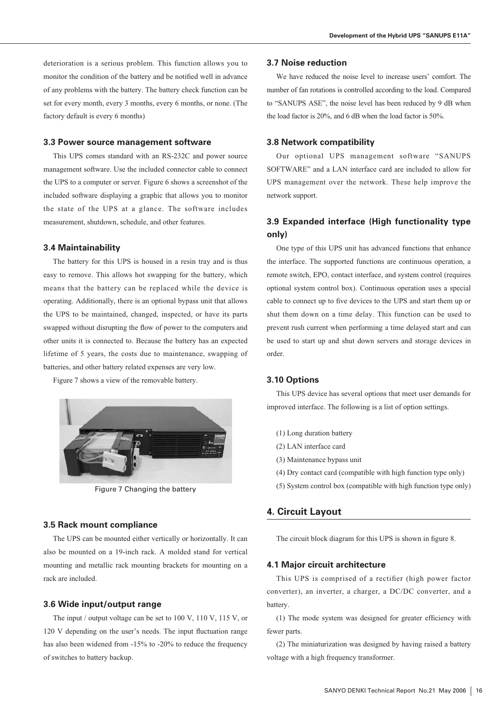deterioration is a serious problem. This function allows you to monitor the condition of the battery and be notified well in advance of any problems with the battery. The battery check function can be set for every month, every 3 months, every 6 months, or none. (The factory default is every 6 months)

#### **3.3 Power source management software**

This UPS comes standard with an RS-232C and power source management software. Use the included connector cable to connect the UPS to a computer or server. Figure 6 shows a screenshot of the included software displaying a graphic that allows you to monitor the state of the UPS at a glance. The software includes measurement, shutdown, schedule, and other features.

#### **3.4 Maintainability**

The battery for this UPS is housed in a resin tray and is thus easy to remove. This allows hot swapping for the battery, which means that the battery can be replaced while the device is operating. Additionally, there is an optional bypass unit that allows the UPS to be maintained, changed, inspected, or have its parts swapped without disrupting the flow of power to the computers and other units it is connected to. Because the battery has an expected lifetime of 5 years, the costs due to maintenance, swapping of batteries, and other battery related expenses are very low.

Figure 7 shows a view of the removable battery.



Figure 7 Changing the battery

#### **3.5 Rack mount compliance**

The UPS can be mounted either vertically or horizontally. It can also be mounted on a 19-inch rack. A molded stand for vertical mounting and metallic rack mounting brackets for mounting on a rack are included.

#### **3.6 Wide input/output range**

The input / output voltage can be set to 100 V, 110 V, 115 V, or 120 V depending on the user's needs. The input fluctuation range has also been widened from -15% to -20% to reduce the frequency of switches to battery backup.

#### **3.7 Noise reduction**

We have reduced the noise level to increase users' comfort. The number of fan rotations is controlled according to the load. Compared to "SANUPS ASE", the noise level has been reduced by 9 dB when the load factor is 20%, and 6 dB when the load factor is 50%.

#### **3.8 Network compatibility**

Our optional UPS management software "SANUPS SOFTWARE" and a LAN interface card are included to allow for UPS management over the network. These help improve the network support.

# **3.9 Expanded interface (High functionality type only)**

One type of this UPS unit has advanced functions that enhance the interface. The supported functions are continuous operation, a remote switch, EPO, contact interface, and system control (requires optional system control box). Continuous operation uses a special cable to connect up to five devices to the UPS and start them up or shut them down on a time delay. This function can be used to prevent rush current when performing a time delayed start and can be used to start up and shut down servers and storage devices in order.

#### **3.10 Options**

This UPS device has several options that meet user demands for improved interface. The following is a list of option settings.

- (1) Long duration battery
- (2) LAN interface card
- (3) Maintenance bypass unit
- (4) Dry contact card (compatible with high function type only)
- (5) System control box (compatible with high function type only)

## **4. Circuit Layout**

The circuit block diagram for this UPS is shown in figure 8.

#### **4.1 Major circuit architecture**

This UPS is comprised of a rectifier (high power factor converter), an inverter, a charger, a DC/DC converter, and a battery.

(1) The mode system was designed for greater efficiency with fewer parts.

(2) The miniaturization was designed by having raised a battery voltage with a high frequency transformer.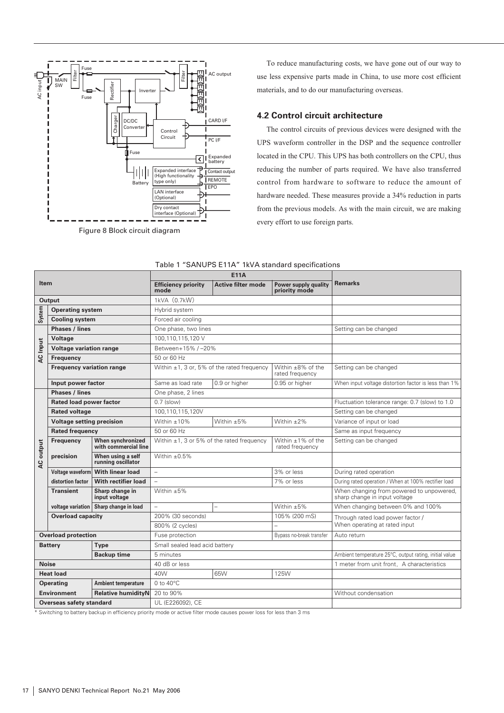



To reduce manufacturing costs, we have gone out of our way to use less expensive parts made in China, to use more cost efficient materials, and to do our manufacturing overseas.

## **4.2 Control circuit architecture**

The control circuits of previous devices were designed with the UPS waveform controller in the DSP and the sequence controller located in the CPU. This UPS has both controllers on the CPU, thus reducing the number of parts required. We have also transferred control from hardware to software to reduce the amount of hardware needed. These measures provide a 34% reduction in parts from the previous models. As with the main circuit, we are making every effort to use foreign parts.

|                                                 |                                  | <b>E11A</b>                                      |                                                  |                           |                                            |                                                                           |
|-------------------------------------------------|----------------------------------|--------------------------------------------------|--------------------------------------------------|---------------------------|--------------------------------------------|---------------------------------------------------------------------------|
| <b>Item</b>                                     |                                  |                                                  | <b>Efficiency priority</b><br>mode               | <b>Active filter mode</b> | Power supply quality<br>priority mode      | <b>Remarks</b>                                                            |
| Output                                          |                                  |                                                  | 1kVA (0.7kW)                                     |                           |                                            |                                                                           |
| <b>System</b>                                   | <b>Operating system</b>          |                                                  | Hybrid system                                    |                           |                                            |                                                                           |
|                                                 | <b>Cooling system</b>            |                                                  | Forced air cooling                               |                           |                                            |                                                                           |
| <b>AC</b> Input                                 | <b>Phases / lines</b>            |                                                  | One phase, two lines                             |                           |                                            | Setting can be changed                                                    |
|                                                 | Voltage                          |                                                  | 100.110.115.120 V                                |                           |                                            |                                                                           |
|                                                 | <b>Voltage variation range</b>   |                                                  | Between+15% / -20%                               |                           |                                            |                                                                           |
|                                                 | <b>Frequency</b>                 |                                                  | 50 or 60 Hz                                      |                           |                                            |                                                                           |
|                                                 | <b>Frequency variation range</b> |                                                  | Within $\pm 1$ , 3 or, 5% of the rated frequency |                           | Within ±8% of the<br>rated frequency       | Setting can be changed                                                    |
|                                                 | Input power factor               |                                                  | Same as load rate                                | 0.9 or higher             | 0.95 or higher                             | When input voltage distortion factor is less than 1%                      |
| <b>AC output</b>                                | <b>Phases / lines</b>            |                                                  | One phase, 2 lines                               |                           |                                            |                                                                           |
|                                                 | <b>Rated load power factor</b>   |                                                  | $0.7$ (slow)                                     |                           |                                            | Fluctuation tolerance range: 0.7 (slow) to 1.0                            |
|                                                 | <b>Rated voltage</b>             |                                                  | 100.110.115.120V                                 |                           | Setting can be changed                     |                                                                           |
|                                                 | <b>Voltage setting precision</b> |                                                  | Within $±10\%$                                   | Within $±5\%$             | Within $\pm 2\%$                           | Variance of input or load                                                 |
|                                                 | <b>Rated frequency</b>           |                                                  | 50 or 60 Hz                                      |                           |                                            | Same as input frequency                                                   |
|                                                 | Frequency                        | <b>When synchronized</b><br>with commercial line | Within $\pm 1$ , 3 or 5% of the rated frequency  |                           | Within $\pm 1\%$ of the<br>rated frequency | Setting can be changed                                                    |
|                                                 | precision                        | When using a self<br>running oscillator          | Within $\pm 0.5\%$                               |                           |                                            |                                                                           |
|                                                 | Voltage waveform                 | <b>With linear load</b>                          | $\overline{\phantom{0}}$                         |                           | 3% or less                                 | During rated operation                                                    |
|                                                 | distortion factor                | With rectifier load                              | L.                                               |                           | 7% or less                                 | During rated operation / When at 100% rectifier load                      |
|                                                 | <b>Transient</b>                 | Sharp change in<br>input voltage                 | Within $\pm 5\%$                                 |                           |                                            | When changing from powered to unpowered,<br>sharp change in input voltage |
|                                                 | voltage variation                | Sharp change in load                             | $\overline{\phantom{0}}$                         | Ξ.                        | Within $\pm 5\%$                           | When changing between 0% and 100%                                         |
|                                                 | <b>Overload capacity</b>         |                                                  | 200% (30 seconds)                                |                           | 105% (200 mS)                              | Through rated load power factor /<br>When operating at rated input        |
|                                                 |                                  |                                                  | 800% (2 cycles)                                  |                           | L.                                         |                                                                           |
| <b>Overload protection</b>                      |                                  |                                                  | Fuse protection                                  |                           | Bypass no-break transfer                   | Auto return                                                               |
| <b>Battery</b><br><b>Type</b>                   |                                  | Small sealed lead acid battery                   |                                                  |                           |                                            |                                                                           |
| <b>Backup time</b>                              |                                  |                                                  | 5 minutes                                        |                           |                                            | Ambient temperature 25°C, output rating, initial value                    |
| <b>Noise</b>                                    |                                  |                                                  | 40 dB or less                                    |                           |                                            | 1 meter from unit front. A characteristics                                |
| <b>Heat load</b>                                |                                  |                                                  | 40W                                              | 65W                       | 125W                                       |                                                                           |
| <b>Operating</b><br><b>Ambient temperature</b>  |                                  | 0 to $40^{\circ}$ C                              |                                                  |                           |                                            |                                                                           |
| <b>Relative humidityN</b><br><b>Environment</b> |                                  |                                                  | 20 to 90%                                        |                           |                                            | Without condensation                                                      |
| <b>Overseas safety standard</b>                 |                                  |                                                  | UL (E226092), CE                                 |                           |                                            |                                                                           |

\* Switching to battery backup in efficiency priority mode or active filter mode causes power loss for less than 3 ms